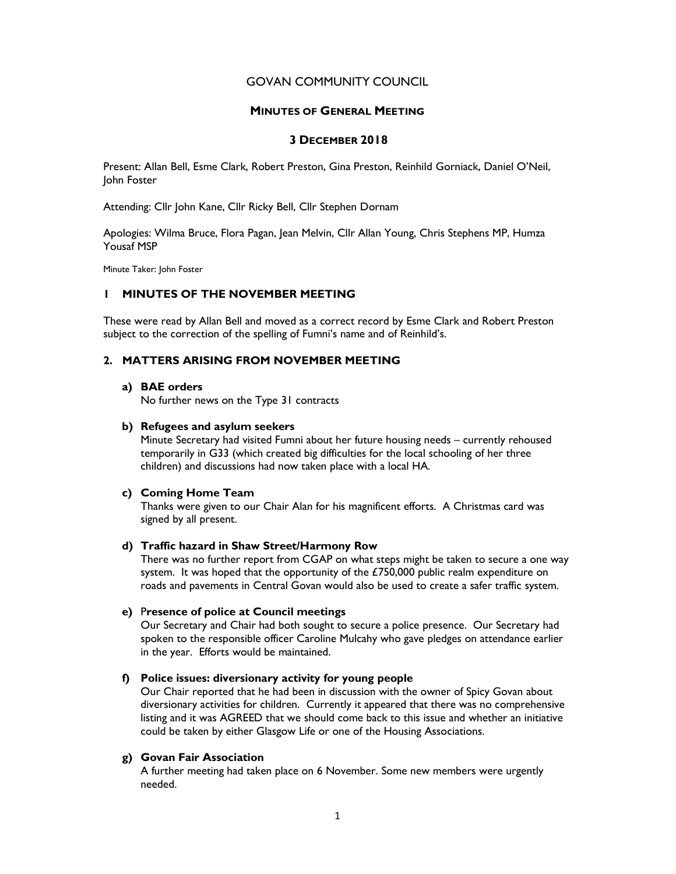# GOVAN COMMUNITY COUNCIL

## MINUTES OF GENERAL MEETING

## 3 DECEMBER 2018

Present: Allan Bell, Esme Clark, Robert Preston, Gina Preston, Reinhild Gorniack, Daniel O'Neil, John Foster

Attending: Cllr John Kane, Cllr Ricky Bell, Cllr Stephen Dornam

Apologies: Wilma Bruce, Flora Pagan, Jean Melvin, Cllr Allan Young, Chris Stephens MP, Humza Yousaf MSP

Minute Taker: John Foster

## 1 MINUTES OF THE NOVEMBER MEETING

These were read by Allan Bell and moved as a correct record by Esme Clark and Robert Preston subject to the correction of the spelling of Fumni's name and of Reinhild's.

# 2. MATTERS ARISING FROM NOVEMBER MEETING

#### a) BAE orders

No further news on the Type 31 contracts

### b) Refugees and asylum seekers

Minute Secretary had visited Fumni about her future housing needs – currently rehoused temporarily in G33 (which created big difficulties for the local schooling of her three children) and discussions had now taken place with a local HA.

## c) Coming Home Team

Thanks were given to our Chair Alan for his magnificent efforts. A Christmas card was signed by all present.

## d) Traffic hazard in Shaw Street/Harmony Row

There was no further report from CGAP on what steps might be taken to secure a one way system. It was hoped that the opportunity of the £750,000 public realm expenditure on roads and pavements in Central Govan would also be used to create a safer traffic system.

# e) Presence of police at Council meetings

Our Secretary and Chair had both sought to secure a police presence. Our Secretary had spoken to the responsible officer Caroline Mulcahy who gave pledges on attendance earlier in the year. Efforts would be maintained.

## f) Police issues: diversionary activity for young people

Our Chair reported that he had been in discussion with the owner of Spicy Govan about diversionary activities for children. Currently it appeared that there was no comprehensive listing and it was AGREED that we should come back to this issue and whether an initiative could be taken by either Glasgow Life or one of the Housing Associations.

# g) Govan Fair Association

A further meeting had taken place on 6 November. Some new members were urgently needed.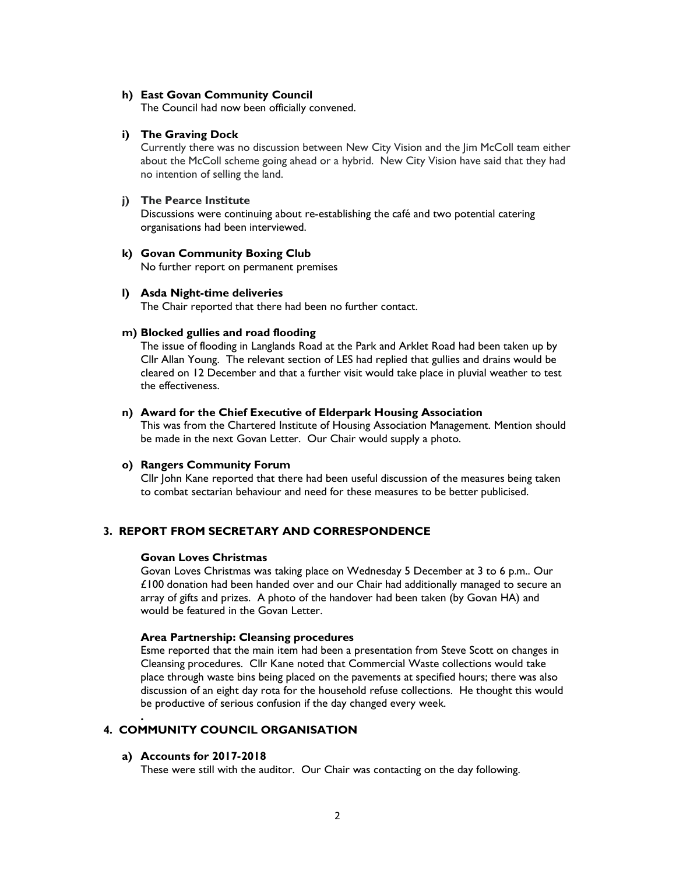#### h) East Govan Community Council

The Council had now been officially convened.

## i) The Graving Dock

Currently there was no discussion between New City Vision and the Jim McColl team either about the McColl scheme going ahead or a hybrid. New City Vision have said that they had no intention of selling the land.

### j) The Pearce Institute

Discussions were continuing about re-establishing the café and two potential catering organisations had been interviewed.

## k) Govan Community Boxing Club

No further report on permanent premises

### l) Asda Night-time deliveries

The Chair reported that there had been no further contact.

## m) Blocked gullies and road flooding

The issue of flooding in Langlands Road at the Park and Arklet Road had been taken up by Cllr Allan Young. The relevant section of LES had replied that gullies and drains would be cleared on 12 December and that a further visit would take place in pluvial weather to test the effectiveness.

## n) Award for the Chief Executive of Elderpark Housing Association

This was from the Chartered Institute of Housing Association Management. Mention should be made in the next Govan Letter. Our Chair would supply a photo.

#### o) Rangers Community Forum

Cllr John Kane reported that there had been useful discussion of the measures being taken to combat sectarian behaviour and need for these measures to be better publicised.

# 3. REPORT FROM SECRETARY AND CORRESPONDENCE

#### Govan Loves Christmas

Govan Loves Christmas was taking place on Wednesday 5 December at 3 to 6 p.m.. Our £100 donation had been handed over and our Chair had additionally managed to secure an array of gifts and prizes. A photo of the handover had been taken (by Govan HA) and would be featured in the Govan Letter.

#### Area Partnership: Cleansing procedures

Esme reported that the main item had been a presentation from Steve Scott on changes in Cleansing procedures. Cllr Kane noted that Commercial Waste collections would take place through waste bins being placed on the pavements at specified hours; there was also discussion of an eight day rota for the household refuse collections. He thought this would be productive of serious confusion if the day changed every week.

# 4. COMMUNITY COUNCIL ORGANISATION

### a) Accounts for 2017-2018

.

These were still with the auditor. Our Chair was contacting on the day following.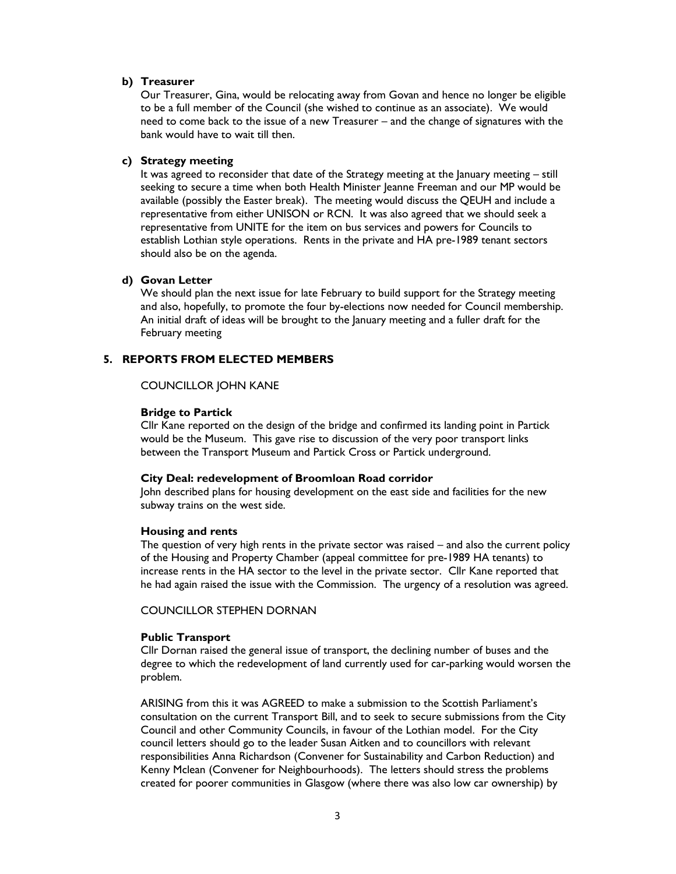#### b) Treasurer

Our Treasurer, Gina, would be relocating away from Govan and hence no longer be eligible to be a full member of the Council (she wished to continue as an associate). We would need to come back to the issue of a new Treasurer – and the change of signatures with the bank would have to wait till then.

### c) Strategy meeting

It was agreed to reconsider that date of the Strategy meeting at the January meeting – still seeking to secure a time when both Health Minister Jeanne Freeman and our MP would be available (possibly the Easter break). The meeting would discuss the QEUH and include a representative from either UNISON or RCN. It was also agreed that we should seek a representative from UNITE for the item on bus services and powers for Councils to establish Lothian style operations. Rents in the private and HA pre-1989 tenant sectors should also be on the agenda.

# d) Govan Letter

We should plan the next issue for late February to build support for the Strategy meeting and also, hopefully, to promote the four by-elections now needed for Council membership. An initial draft of ideas will be brought to the January meeting and a fuller draft for the February meeting

# 5. REPORTS FROM ELECTED MEMBERS

### COUNCILLOR JOHN KANE

### Bridge to Partick

Cllr Kane reported on the design of the bridge and confirmed its landing point in Partick would be the Museum. This gave rise to discussion of the very poor transport links between the Transport Museum and Partick Cross or Partick underground.

#### City Deal: redevelopment of Broomloan Road corridor

John described plans for housing development on the east side and facilities for the new subway trains on the west side.

#### Housing and rents

The question of very high rents in the private sector was raised – and also the current policy of the Housing and Property Chamber (appeal committee for pre-1989 HA tenants) to increase rents in the HA sector to the level in the private sector. Cllr Kane reported that he had again raised the issue with the Commission. The urgency of a resolution was agreed.

COUNCILLOR STEPHEN DORNAN

#### Public Transport

Cllr Dornan raised the general issue of transport, the declining number of buses and the degree to which the redevelopment of land currently used for car-parking would worsen the problem.

ARISING from this it was AGREED to make a submission to the Scottish Parliament's consultation on the current Transport Bill, and to seek to secure submissions from the City Council and other Community Councils, in favour of the Lothian model. For the City council letters should go to the leader Susan Aitken and to councillors with relevant responsibilities Anna Richardson (Convener for Sustainability and Carbon Reduction) and Kenny Mclean (Convener for Neighbourhoods). The letters should stress the problems created for poorer communities in Glasgow (where there was also low car ownership) by